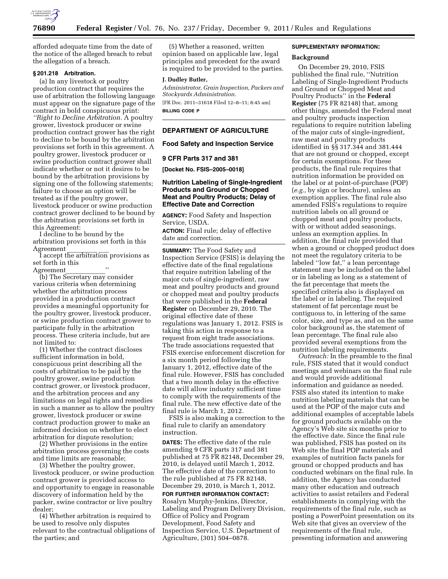

afforded adequate time from the date of the notice of the alleged breach to rebut the allegation of a breach.

## **§ 201.218 Arbitration.**

(a) In any livestock or poultry production contract that requires the use of arbitration the following language must appear on the signature page of the contract in bold conspicuous print: *''Right to Decline Arbitration.* A poultry grower, livestock producer or swine production contract grower has the right to decline to be bound by the arbitration provisions set forth in this agreement. A poultry grower, livestock producer or swine production contract grower shall indicate whether or not it desires to be bound by the arbitration provisions by signing one of the following statements; failure to choose an option will be treated as if the poultry grower, livestock producer or swine production contract grower declined to be bound by the arbitration provisions set forth in this Agreement:

I decline to be bound by the arbitration provisions set forth in this Agreement \_\_\_\_\_\_\_\_\_ \_\_\_

I accept the arbitration provisions as set forth in this

Agreement\_\_\_\_\_\_\_\_\_\_\_\_''

(b) The Secretary may consider various criteria when determining whether the arbitration process provided in a production contract provides a meaningful opportunity for the poultry grower, livestock producer, or swine production contract grower to participate fully in the arbitration process. These criteria include, but are not limited to:

(1) Whether the contract discloses sufficient information in bold, conspicuous print describing all the costs of arbitration to be paid by the poultry grower, swine production contract grower, or livestock producer, and the arbitration process and any limitations on legal rights and remedies in such a manner as to allow the poultry grower, livestock producer or swine contract production grower to make an informed decision on whether to elect arbitration for dispute resolution;

(2) Whether provisions in the entire arbitration process governing the costs and time limits are reasonable;

(3) Whether the poultry grower, livestock producer, or swine production contract grower is provided access to and opportunity to engage in reasonable discovery of information held by the packer, swine contractor or live poultry dealer;

(4) Whether arbitration is required to be used to resolve only disputes relevant to the contractual obligations of the parties; and

(5) Whether a reasoned, written opinion based on applicable law, legal principles and precedent for the award is required to be provided to the parties.

### **J. Dudley Butler,**

*Administrator, Grain Inspection, Packers and Stockyards Administration.*  [FR Doc. 2011–31618 Filed 12–8–11; 8:45 am] **BILLING CODE P** 

### **DEPARTMENT OF AGRICULTURE**

### **Food Safety and Inspection Service**

#### **9 CFR Parts 317 and 381**

**[Docket No. FSIS–2005–0018]** 

## **Nutrition Labeling of Single-Ingredient Products and Ground or Chopped Meat and Poultry Products; Delay of Effective Date and Correction**

**AGENCY:** Food Safety and Inspection Service, USDA.

**ACTION:** Final rule; delay of effective date and correction.

**SUMMARY:** The Food Safety and Inspection Service (FSIS) is delaying the effective date of the final regulations that require nutrition labeling of the major cuts of single-ingredient, raw meat and poultry products and ground or chopped meat and poultry products that were published in the **Federal Register** on December 29, 2010. The original effective date of these regulations was January 1, 2012. FSIS is taking this action in response to a request from eight trade associations. The trade associations requested that FSIS exercise enforcement discretion for a six month period following the January 1, 2012, effective date of the final rule. However, FSIS has concluded that a two month delay in the effective date will allow industry sufficient time to comply with the requirements of the final rule. The new effective date of the final rule is March 1, 2012.

FSIS is also making a correction to the final rule to clarify an amendatory instruction.

**DATES:** The effective date of the rule amending 9 CFR parts 317 and 381 published at 75 FR 82148, December 29, 2010, is delayed until March 1, 2012. The effective date of the correction to the rule published at 75 FR 82148, December 29, 2010, is March 1, 2012.

**FOR FURTHER INFORMATION CONTACT:**  Rosalyn Murphy-Jenkins, Director, Labeling and Program Delivery Division, Office of Policy and Program Development, Food Safety and Inspection Service, U.S. Department of Agriculture, (301) 504–0878.

### **SUPPLEMENTARY INFORMATION:**

#### **Background**

On December 29, 2010, FSIS published the final rule, ''Nutrition Labeling of Single-Ingredient Products and Ground or Chopped Meat and Poultry Products'' in the **Federal Register** (75 FR 82148) that, among other things, amended the Federal meat and poultry products inspection regulations to require nutrition labeling of the major cuts of single-ingredient, raw meat and poultry products identified in §§ 317.344 and 381.444 that are not ground or chopped, except for certain exemptions. For these products, the final rule requires that nutrition information be provided on the label or at point-of-purchase (POP) (*e.g.,* by sign or brochure), unless an exemption applies. The final rule also amended FSIS's regulations to require nutrition labels on all ground or chopped meat and poultry products, with or without added seasonings, unless an exemption applies. In addition, the final rule provided that when a ground or chopped product does not meet the regulatory criteria to be labeled ''low fat,'' a lean percentage statement may be included on the label or in labeling as long as a statement of the fat percentage that meets the specified criteria also is displayed on the label or in labeling. The required statement of fat percentage must be contiguous to, in lettering of the same color, size, and type as, and on the same color background as, the statement of lean percentage. The final rule also provided several exemptions from the nutrition labeling requirements.

*Outreach:* In the preamble to the final rule, FSIS stated that it would conduct meetings and webinars on the final rule and would provide additional information and guidance as needed. FSIS also stated its intention to make nutrition labeling materials that can be used at the POP of the major cuts and additional examples of acceptable labels for ground products available on the Agency's Web site six months prior to the effective date. Since the final rule was published, FSIS has posted on its Web site the final POP materials and examples of nutrition facts panels for ground or chopped products and has conducted webinars on the final rule. In addition, the Agency has conducted many other education and outreach activities to assist retailers and Federal establishments in complying with the requirements of the final rule, such as posting a PowerPoint presentation on its Web site that gives an overview of the requirements of the final rule, presenting information and answering